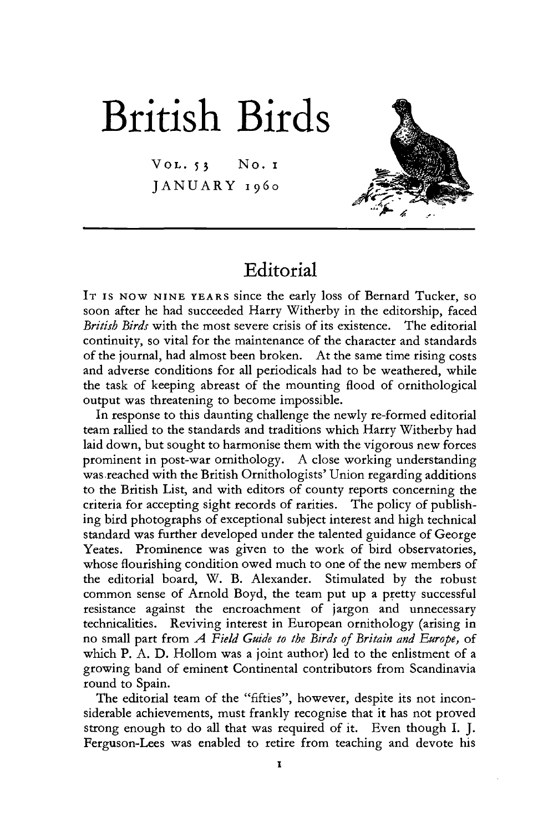# British Birds

 $V$ OL.  $53$  No.  $I$ JANUARY 1960



## Editorial

IT IS NOW NINE YEARS since the early loss of Bernard Tucker, so soon after he had succeeded Harry Witherby in the editorship, faced *British Birds* with the most severe crisis of its existence. The editorial continuity, so vital for the maintenance of the character and standards of the journal, had almost been broken. At the same time rising costs and adverse conditions for all periodicals had to be weathered, while the task of keeping abreast of the mounting flood of ornithological output was threatening to become impossible.

In response to this daunting challenge the newly re-formed editorial team rallied to the standards and traditions which Harry Witherby had laid down, but sought to harmonise them with the vigorous new forces prominent in post-war ornithology. A close working understanding was reached with the British Ornithologists' Union regarding additions to the British List, and with editors of county reports concerning the criteria for accepting sight records of rarities. The policy of publishing bird photographs of exceptional subject interest and high technical standard was further developed under the talented guidance of George Yeates. Prominence was given to the work of bird observatories, whose flourishing condition owed much to one of the new members of the editorial board, W. B. Alexander. Stimulated by the robust common sense of Arnold Boyd, the team put up a pretty successful resistance against the encroachment of jargon and unnecessary technicalities. Reviving interest in European ornithology (arising in no small part from *A Field Guide to the Birds of Britain and Europe,* of which P. A. D. Hollom was a joint author) led to the enlistment of a growing band of eminent Continental contributors from Scandinavia round to Spain.

The editorial team of the "fifties", however, despite its not inconsiderable achievements, must frankly recognise that it has not proved strong enough to do all that was required of it. Even though I. J. Ferguson-Lees was enabled to retire from teaching and devote his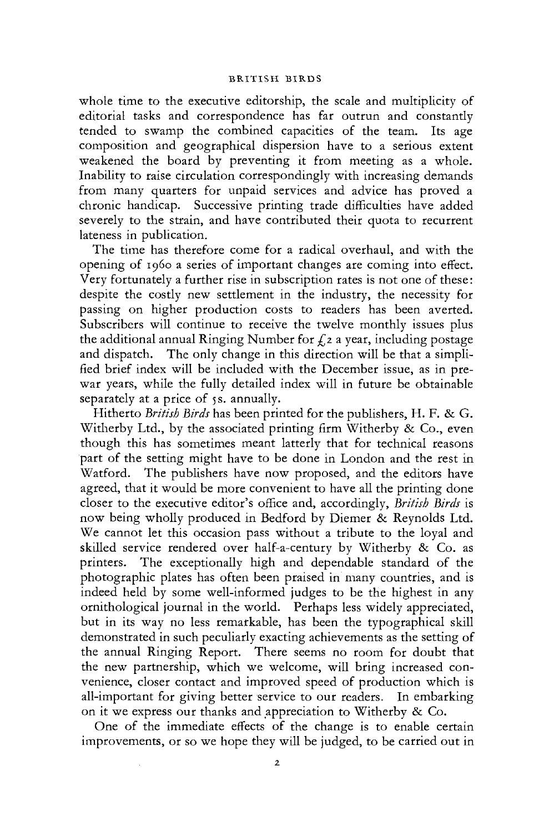### BRITISH BIRDS

whole time to the executive editorship, the scale and multiplicity of editorial tasks and correspondence has far outrun and constantly tended to swamp the combined capacities of the team. Its age composition and geographical dispersion have to a serious extent weakened the board by preventing it from meeting as a whole. Inability to raise circulation correspondingly with increasing demands from many quarters for unpaid services and advice has proved a chronic handicap. Successive printing trade difficulties have added severely to the strain, and have contributed their quota to recurrent lateness in publication.

The time has therefore come for a radical overhaul, and with the opening of i960 a series of important changes are coming into effect. Very fortunately a further rise in subscription rates is not one of these: despite the costly new settlement in the industry, the necessity for passing on higher production costs to readers has been averted. Subscribers will continue to receive the twelve monthly issues plus the additional annual Ringing Number for *£1* a year, including postage and dispatch. The only change in this direction will be that a simplified brief index will be included with the December issue, as in prewar years, while the fully detailed index will in future be obtainable separately at a price of 5s. annually.

Hitherto *British Birds* has been printed for the publishers, H. F. & G. Witherby Ltd., by the associated printing firm Witherby & Co., even though this has sometimes meant latterly that for technical reasons part of the setting might have to be done in London and the rest in Watford. The publishers have now proposed, and the editors have agreed, that it would be more convenient to have all the printing done closer to the executive editor's office and, accordingly, *British Birds* is now being wholly produced in Bedford by Diemer & Reynolds Ltd. We cannot let this occasion pass without a tribute to the loyal and skilled service rendered over half-a-century by Witherby & Co. as printers. The exceptionally high and dependable standard of the photographic plates has often been praised in many countries, and is indeed held by some well-informed judges to be the highest in any ornithological journal in the world. Perhaps less widely appreciated, but in its way no less remarkable, has been the typographical skill demonstrated in such peculiarly exacting achievements as the setting of the annual Ringing Report. There seems no room for doubt that the new partnership, which we welcome, will bring increased convenience, closer contact and improved speed of production which is all-important for giving better service to our readers. In embarking on it we express our thanks and appreciation to Witherby & Co.

One of the immediate effects of the change is to enable certain improvements, or so we hope they will be judged, to be carried out in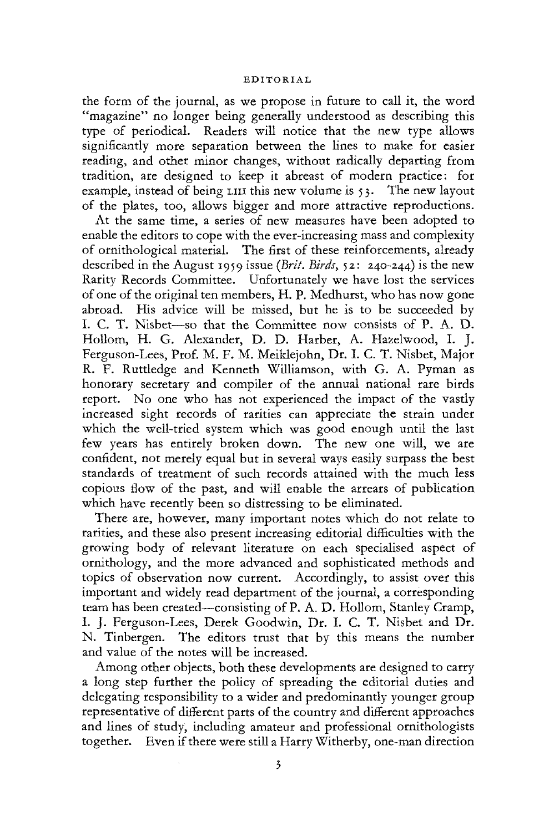#### EDITORIAL

the form of the journal, as we propose in future to call it, the word "magazine" no longer being generally understood as describing this type of periodical. Readers will notice that the new type allows significantly more separation between the lines to make for easier reading, and other minor changes, without radically departing from tradition, are designed to keep it abreast of modern practice; for example, instead of being LIII this new volume is 53. The new layout of the plates, too, allows bigger and more attractive reproductions.

At the same time, a series of new measures have been adopted to enable the editors to cope with the ever-increasing mass and complexity of ornithological material. The first of these reinforcements, already described in the August 1959 issue *{Brit. Birds,* 52: 240-244) is the new Rarity Records Committee. Unfortunately we have lost the services of one of the original ten members, H. P. Medhurst, who has now gone abroad. His advice will be missed, but he is to be succeeded by I. C. T. Nisbet—so that the Committee now consists of P. A. D. Hollom, H. G. Alexander, D. D. Harber, A. Hazelwood, I. J. Ferguson-Lees, Prof. M. F. M. Meiklejohn, Dr. I. C. T. Nisbet, Major R. F. Ruttledge and Kenneth Williamson, with G. A. Pyman as honorary secretary and compiler of the annual national rare birds report. No one who has not experienced the impact of the vastly increased sight records of rarities can appreciate the strain under which the well-tried system which was good enough until the last few years has entirely broken down. The new one will, we are confident, not merely equal but in several ways easily surpass the best standards of treatment of such records attained with the much less copious flow of the past, and will enable the arrears of publication which have recently been so distressing to be eliminated.

There are, however, many important notes which do not relate to rarities, and these also present increasing editorial difficulties with the growing body of relevant literature on each specialised aspect of ornithology, and the more advanced and sophisticated methods and topics of observation now current. Accordingly, to assist over this important and widely read department of the journal, a corresponding team has been created—consisting of P. A. D. Hollom, Stanley Cramp, I. J. Ferguson-Lees, Derek Goodwin, Dr. I. C. T, Nisbet and Dr. N. Tinbergen. The editors trust that by this means the number and value of the notes will be increased.

Among other objects, both these developments are designed to carry a long step further the policy of spreading the editorial duties and delegating responsibility to a wider and predominantly younger group representative of different parts of the country and different approaches and lines of study, including amateur and professional ornithologists together. Even if there were still a Harry Witherby, one-man direction